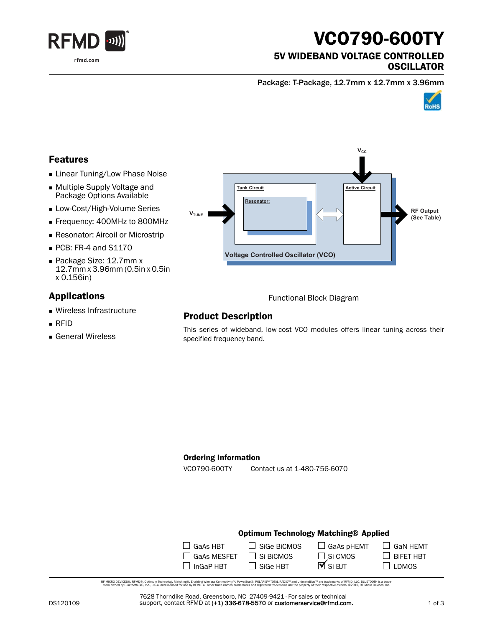

# VCO790-600TY

### 5V WIDEBAND VOLTAGE CONTROLLED **OSCILLATOR**

Package: T-Package, 12.7mm x 12.7mm x 3.96mm



### Features

- **Linear Tuning/Low Phase Noise**
- Multiple Supply Voltage and Package Options Available
- **Low-Cost/High-Volume Series**
- Frequency: 400MHz to 800MHz
- **Resonator: Aircoil or Microstrip**
- PCB: FR-4 and S1170
- Package Size: 12.7mm x 12.7mm x 3.96mm (0.5in x 0.5in x 0.156in)

## Applications

- Wireless Infrastructure
- RFID
- General Wireless



Functional Block Diagram

# Product Description

This series of wideband, low-cost VCO modules offers linear tuning across their specified frequency band.

#### Ordering Information

VCO790-600TY Contact us at 1-480-756-6070

#### Optimum Technology Matching® Applied

| $\Box$ GaAs HBT    | $\Box$ Sige BiCMOS | $\Box$ GaAs pHEMT              |
|--------------------|--------------------|--------------------------------|
| $\Box$ GaAs MESFET | $\Box$ Si BiCMOS   | $\Box$ Si CMOS                 |
| $\Box$ InGaP HBT   | SiGe HBT           | $\mathbf{\overline{M}}$ Si BJT |

RF MCRO DEVCES®, RFMD®, Optimum Technology Matching®, Erabling Wireless Connectivity™, PowerStar®, POLARIS™ TOTAL RADIO™ and UltimateBlue™ are trademarks of RFMD, LLC. BLUETOOTH is a trade<br>… mark owned by Bluetooth SIG, i

7628 Thorndike Road, Greensboro, NC 27409-9421 · For sales or technical support, contact RFMD at (+1) 336-678-5570 or customerservice@rfmd.com.  $\Box$  GaN HEMT

 $\Box$  BiFET HBT  $\square$  LDMOS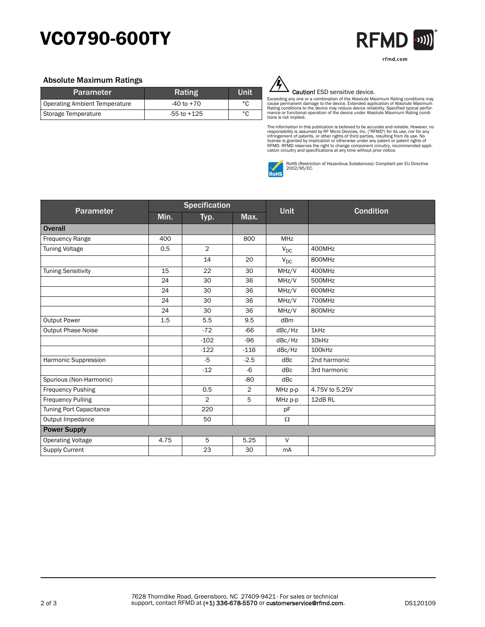# VCO790-600TY



#### Absolute Maximum Ratings

| <b>Parameter</b>              | Rating          | Unit |
|-------------------------------|-----------------|------|
| Operating Ambient Temperature | $-40$ to $+70$  | °C   |
| Storage Temperature           | $-55$ to $+125$ | °C   |



#### Caution! ESD sensitive device.

Exceeding any one or a combination of the Absolute Maximum Rating conditions may<br>cause permanent damage to the device. Extended application of Absolute Maximum<br>Rating conditions to the device may reduce device reliability. tions is not implied.

The information in this publication is believed to be accurate and reliable. However, no<br>responsibility is assumed by RF Micro Devices, Inc. ("RFMD") for its use, nor for any<br>infringement of patents, or other rights of thi



RoHS (Restriction of Hazardous Substances): Compliant per EU Directive 2002/95/EC.

| Parameter                 | <b>Specification</b> |                |        | <b>Condition</b> |                   |
|---------------------------|----------------------|----------------|--------|------------------|-------------------|
|                           | Min.                 | Typ.           | Max.   | <b>Unit</b>      |                   |
| <b>Overall</b>            |                      |                |        |                  |                   |
| Frequency Range           | 400                  |                | 800    | <b>MHz</b>       |                   |
| <b>Tuning Voltage</b>     | 0.5                  | $\overline{2}$ |        | $V_{DC}$         | 400MHz            |
|                           |                      | 14             | 20     | $V_{DC}$         | 800MHz            |
| <b>Tuning Sensitivity</b> | 15                   | 22             | 30     | MHz/V            | 400MHz            |
|                           | 24                   | 30             | 36     | MHz/V            | 500MHz            |
|                           | 24                   | 30             | 36     | MHz/V            | 600MHz            |
|                           | 24                   | 30             | 36     | MHz/V            | 700MHz            |
|                           | 24                   | 30             | 36     | MHz/V            | 800MHz            |
| <b>Output Power</b>       | 1.5                  | 5.5            | 9.5    | dBm              |                   |
| <b>Output Phase Noise</b> |                      | $-72$          | $-66$  | dBc/Hz           | 1kHz              |
|                           |                      | $-102$         | $-96$  | dBc/Hz           | 10 <sub>kHz</sub> |
|                           |                      | $-122$         | $-116$ | dBc/Hz           | 100kHz            |
| Harmonic Suppression      |                      | $-5$           | $-2.5$ | dBc              | 2nd harmonic      |
|                           |                      | $-12$          | $-6$   | dBc              | 3rd harmonic      |
| Spurious (Non-Harmonic)   |                      |                | $-80$  | dBc              |                   |
| <b>Frequency Pushing</b>  |                      | 0.5            | 2      | MHz p-p          | 4.75V to 5.25V    |
| <b>Frequency Pulling</b>  |                      | $\overline{2}$ | 5      | MHz p-p          | 12dB RL           |
| Tuning Port Capacitance   |                      | 220            |        | pF               |                   |
| Output Impedance          |                      | 50             |        | $\Omega$         |                   |
| <b>Power Supply</b>       |                      |                |        |                  |                   |
| <b>Operating Voltage</b>  | 4.75                 | 5              | 5.25   | $\vee$           |                   |
| <b>Supply Current</b>     |                      | 23             | 30     | mA               |                   |